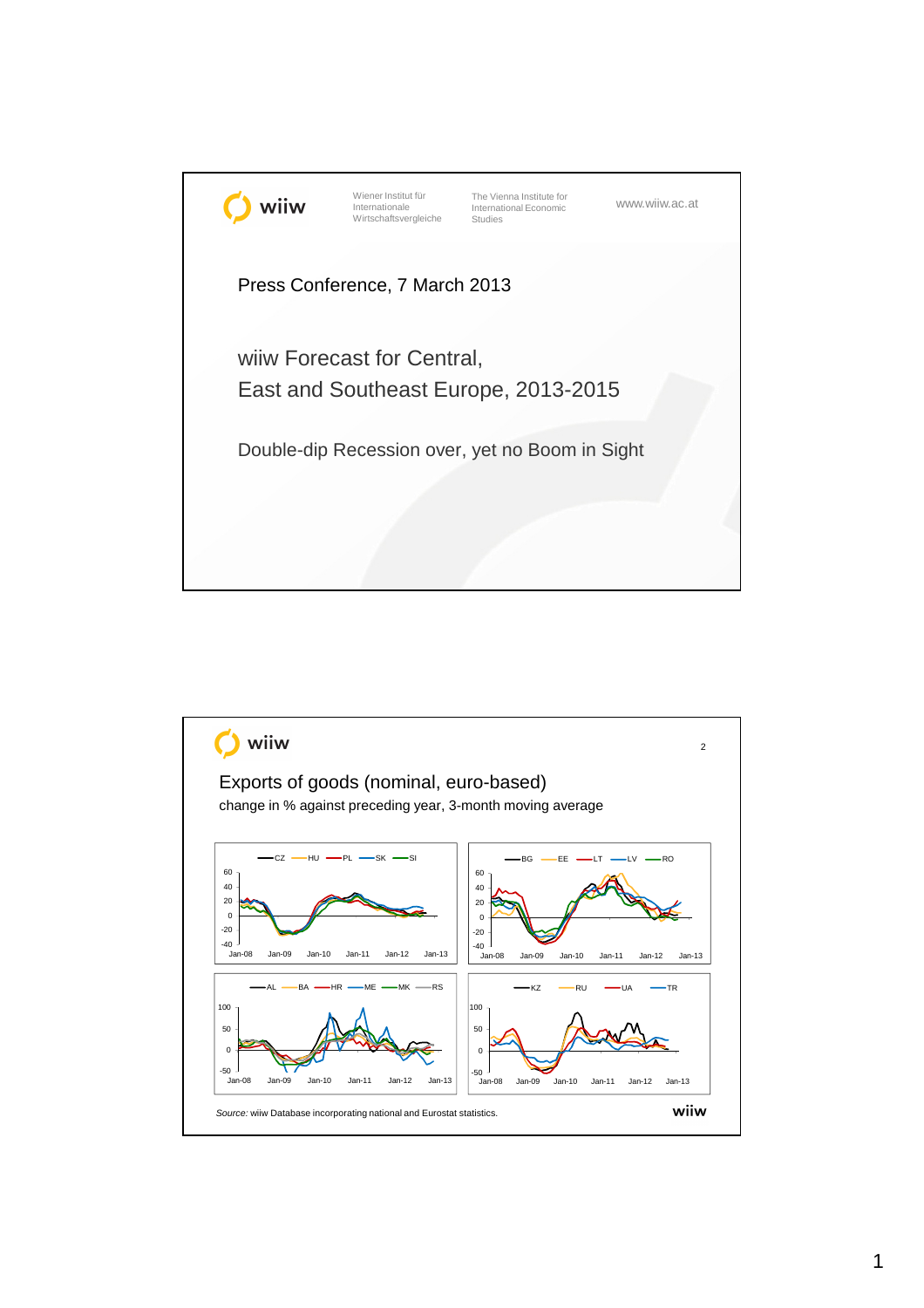

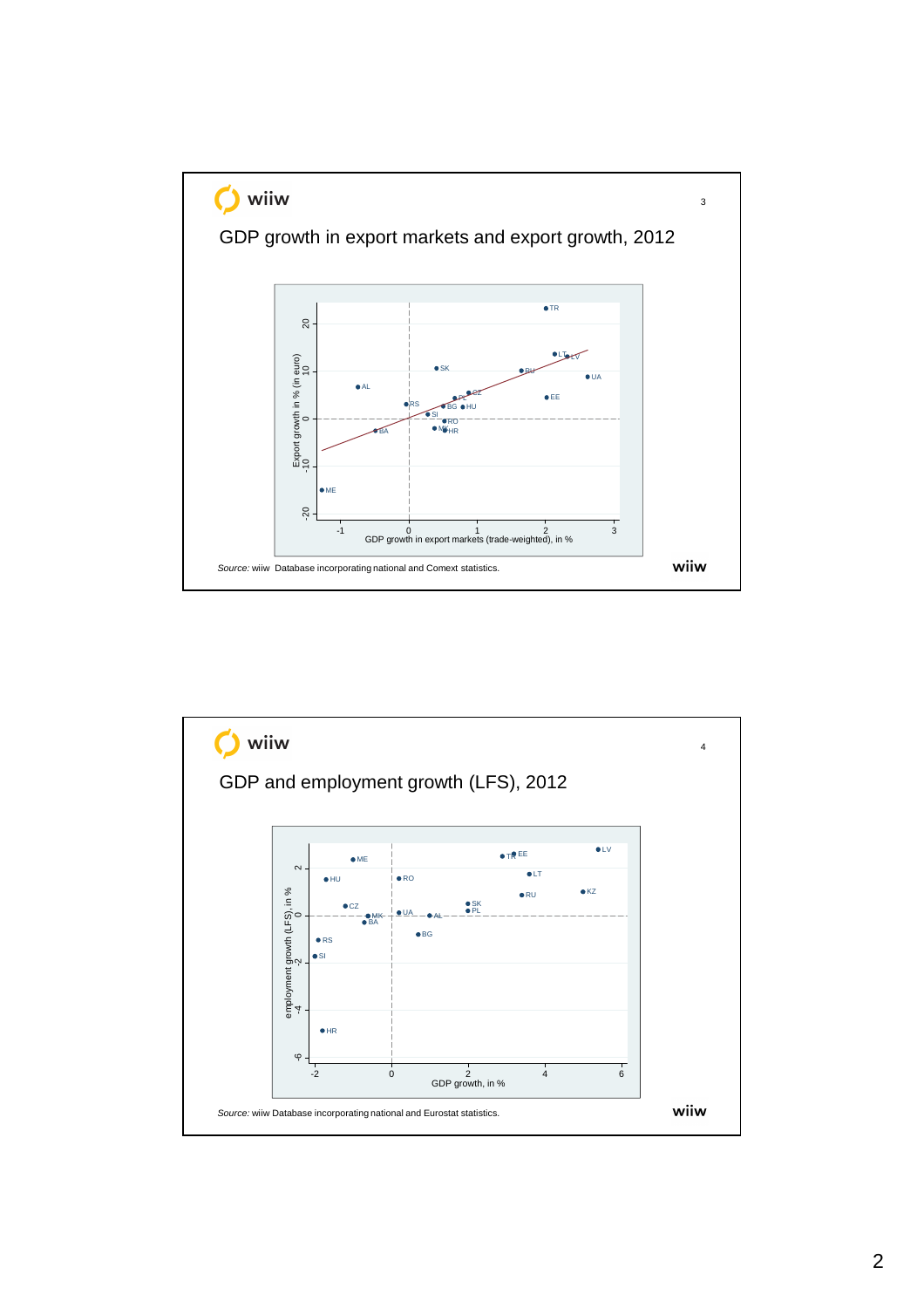

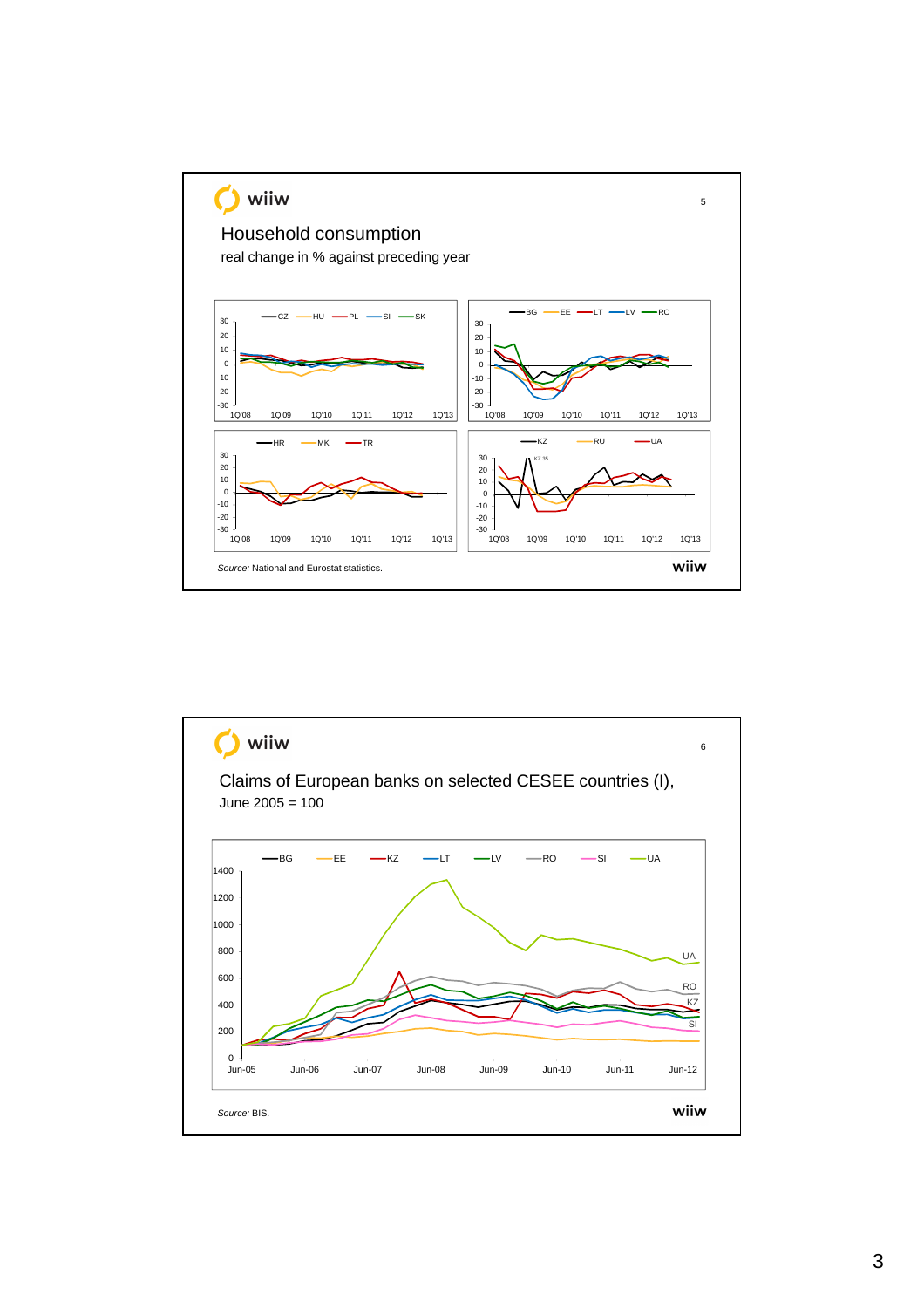

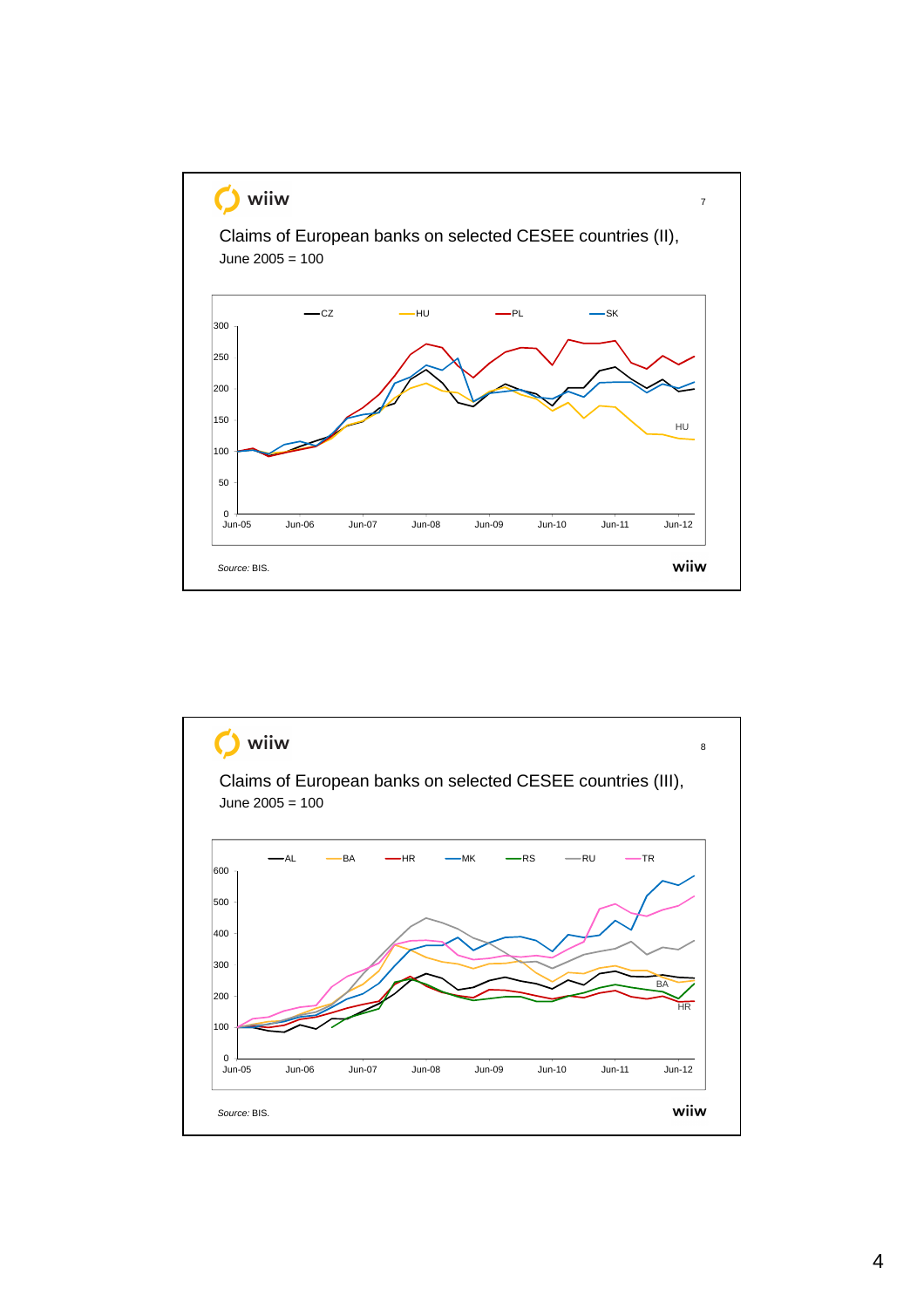

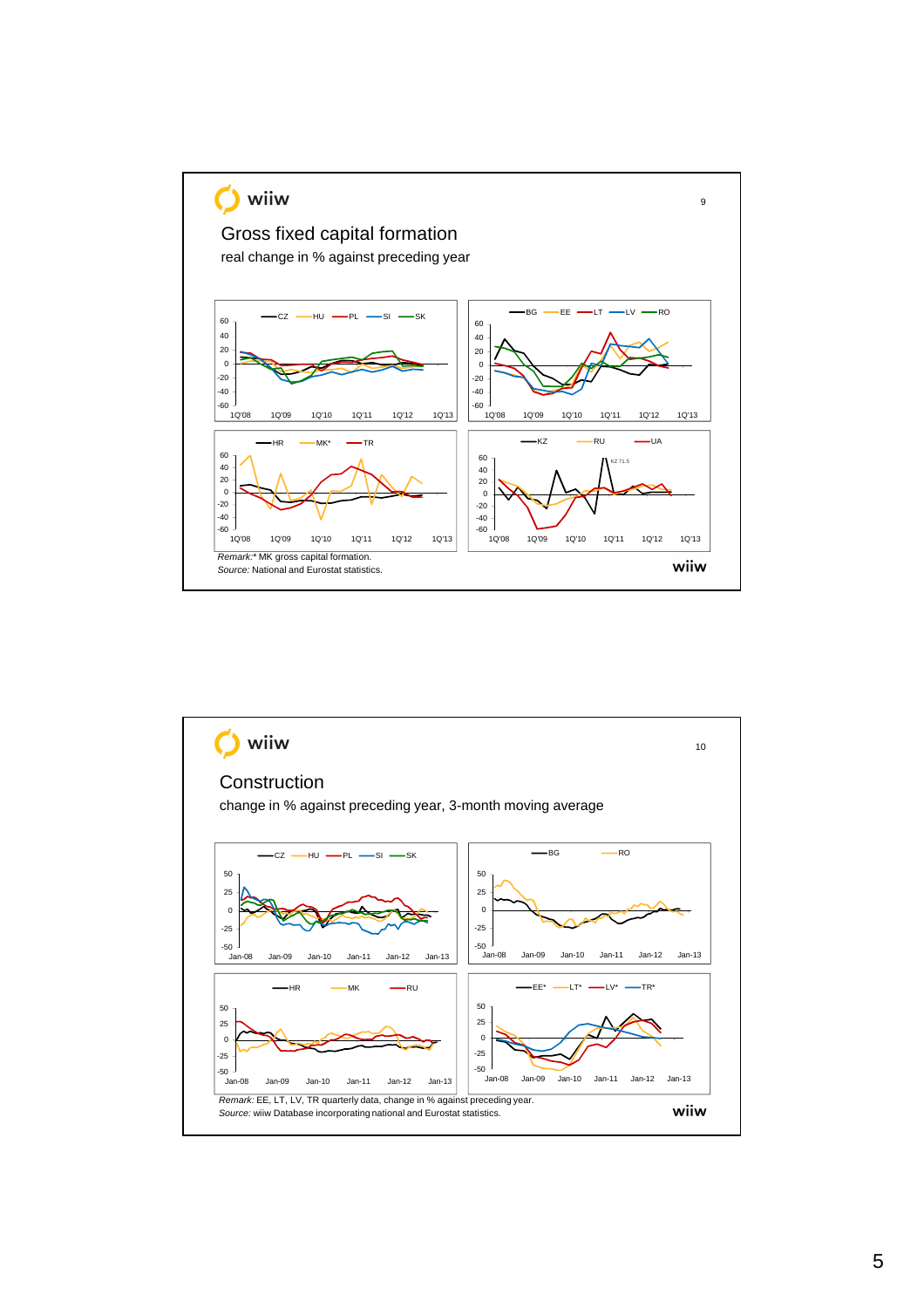

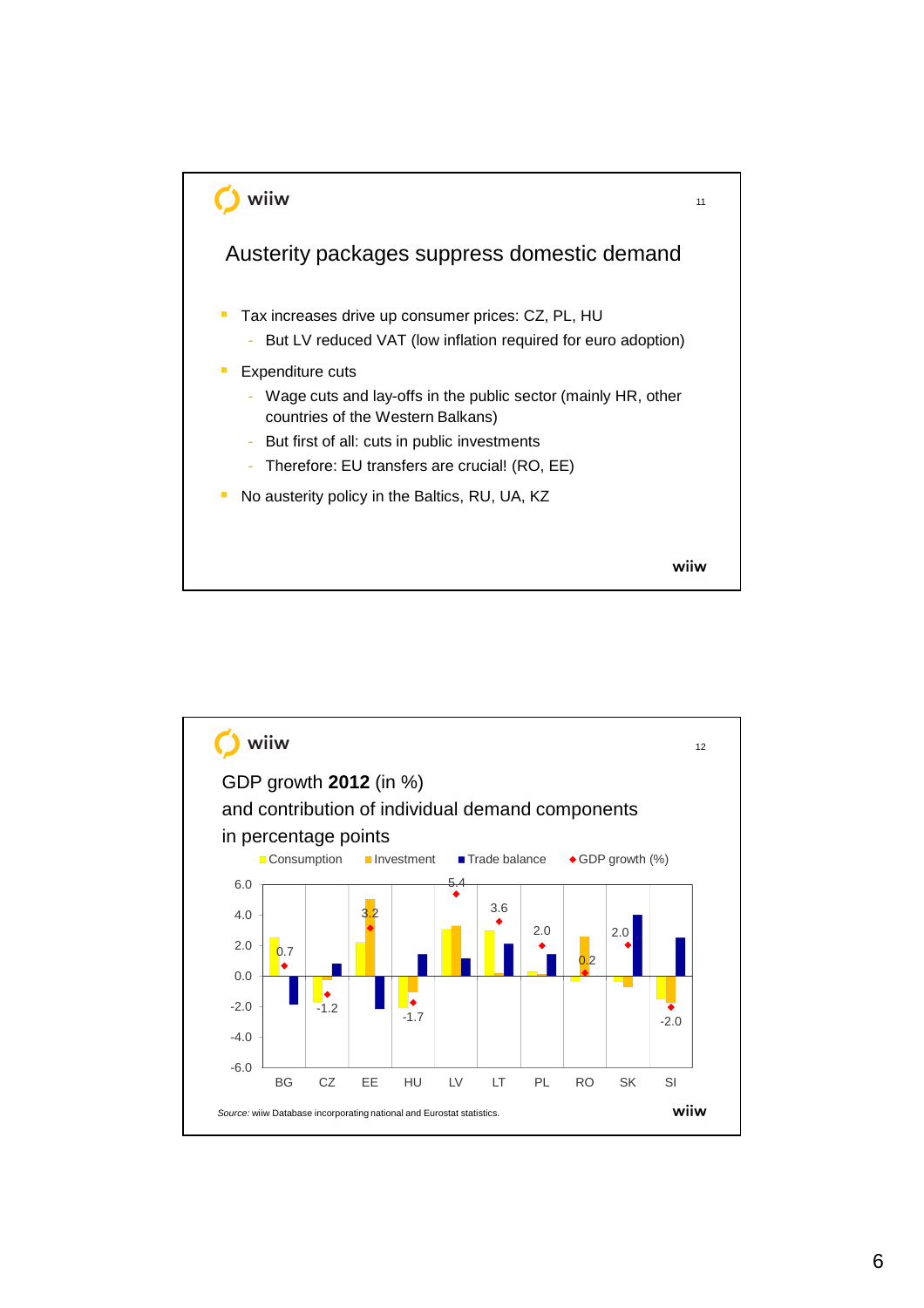

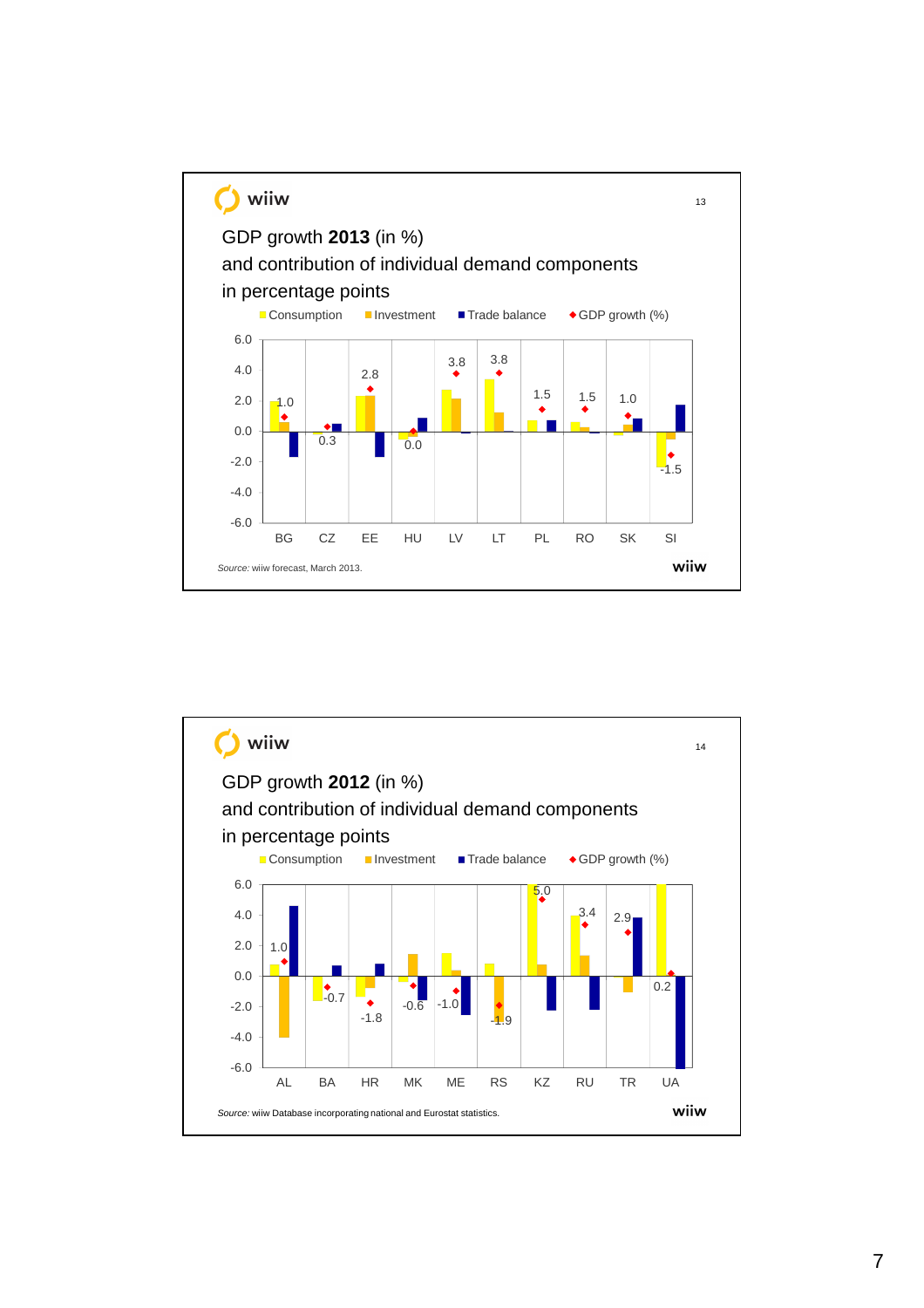

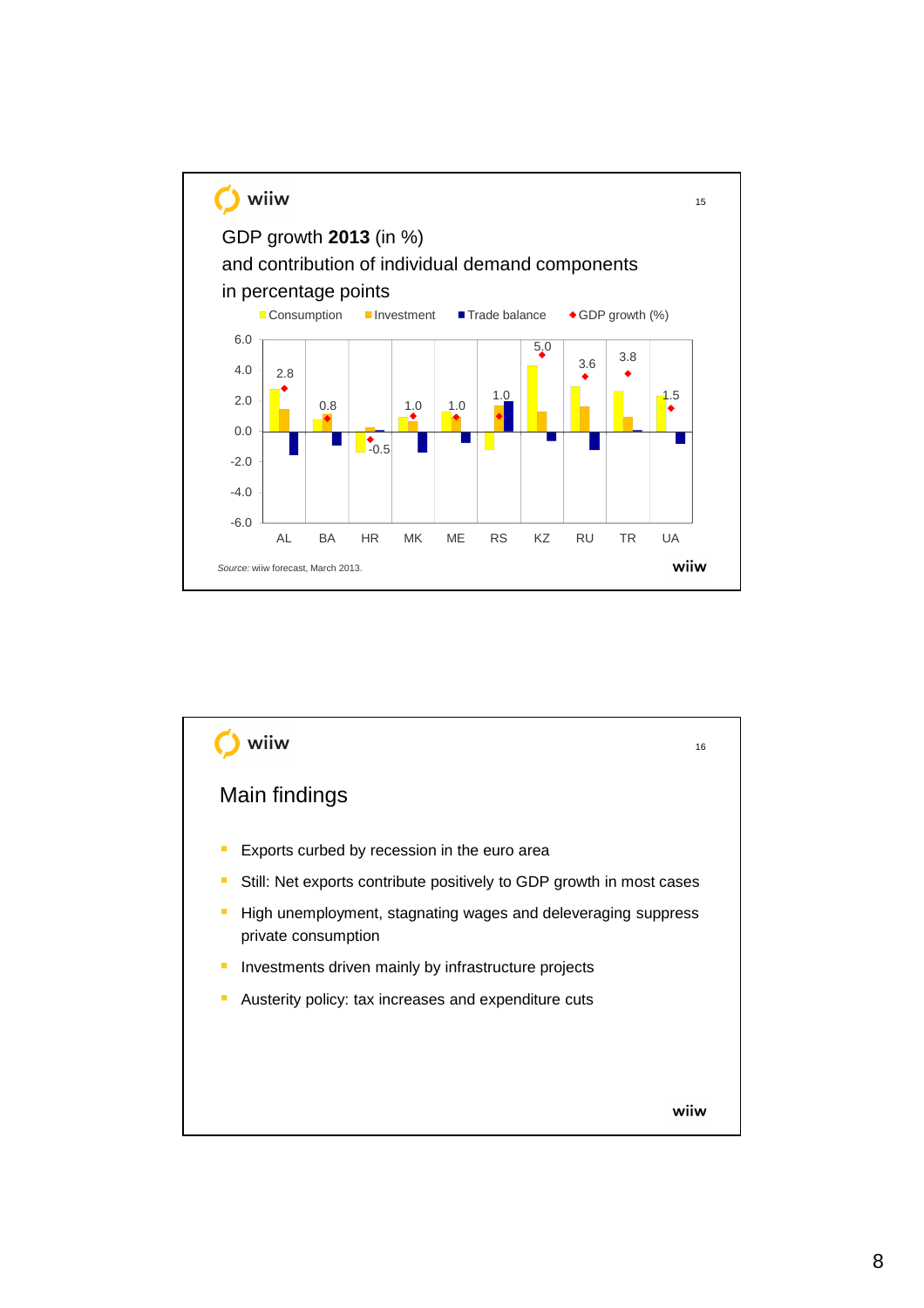